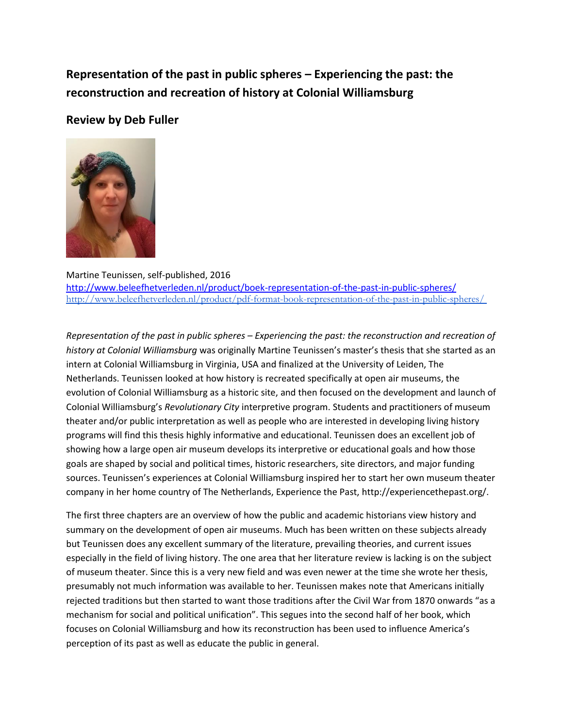## **Representation of the past in public spheres – Experiencing the past: the reconstruction and recreation of history at Colonial Williamsburg**

## **Review by Deb Fuller**



## Martine Teunissen, self-published, 2016 <http://www.beleefhetverleden.nl/product/boek-representation-of-the-past-in-public-spheres/> <http://www.beleefhetverleden.nl/product/pdf-format-book-representation-of-the-past-in-public-spheres/>

*Representation of the past in public spheres – Experiencing the past: the reconstruction and recreation of history at Colonial Williamsburg* was originally Martine Teunissen's master's thesis that she started as an intern at Colonial Williamsburg in Virginia, USA and finalized at the University of Leiden, The Netherlands. Teunissen looked at how history is recreated specifically at open air museums, the evolution of Colonial Williamsburg as a historic site, and then focused on the development and launch of Colonial Williamsburg's *Revolutionary City* interpretive program. Students and practitioners of museum theater and/or public interpretation as well as people who are interested in developing living history programs will find this thesis highly informative and educational. Teunissen does an excellent job of showing how a large open air museum develops its interpretive or educational goals and how those goals are shaped by social and political times, historic researchers, site directors, and major funding sources. Teunissen's experiences at Colonial Williamsburg inspired her to start her own museum theater company in her home country of The Netherlands, Experience the Past, http://experiencethepast.org/.

The first three chapters are an overview of how the public and academic historians view history and summary on the development of open air museums. Much has been written on these subjects already but Teunissen does any excellent summary of the literature, prevailing theories, and current issues especially in the field of living history. The one area that her literature review is lacking is on the subject of museum theater. Since this is a very new field and was even newer at the time she wrote her thesis, presumably not much information was available to her. Teunissen makes note that Americans initially rejected traditions but then started to want those traditions after the Civil War from 1870 onwards "as a mechanism for social and political unification". This segues into the second half of her book, which focuses on Colonial Williamsburg and how its reconstruction has been used to influence America's perception of its past as well as educate the public in general.